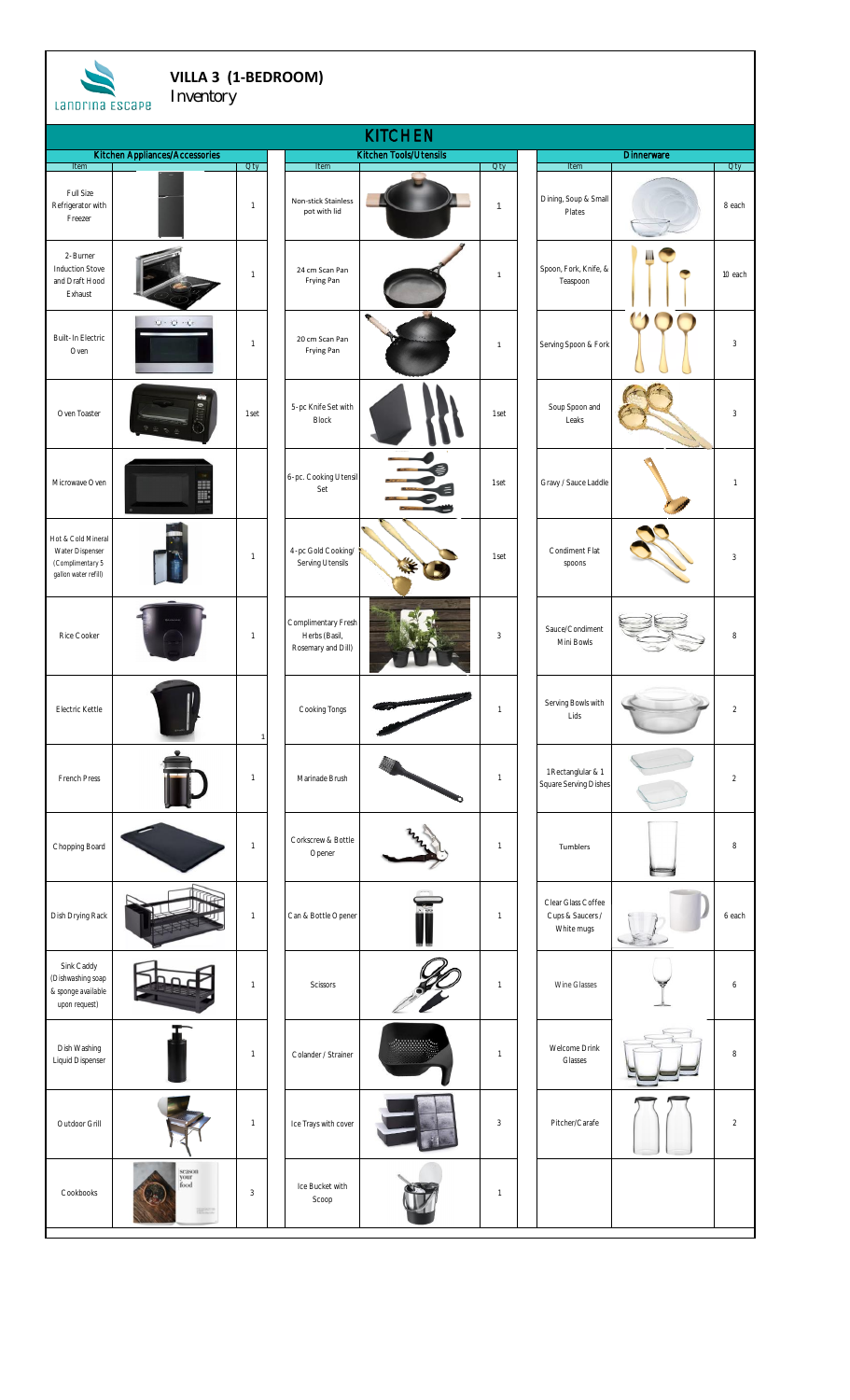| VILLA 3 (1-BEDROOM)<br>Inventory<br>Landrina ESCAPE                               |                                        |              |  |                                                            |                        |                          |  |                                                      |                   |                |  |
|-----------------------------------------------------------------------------------|----------------------------------------|--------------|--|------------------------------------------------------------|------------------------|--------------------------|--|------------------------------------------------------|-------------------|----------------|--|
|                                                                                   |                                        |              |  |                                                            | <b>KITCHEN</b>         |                          |  |                                                      |                   |                |  |
| <b>Item</b>                                                                       | Kitchen Appliances/Accessories         | <b>Oty</b>   |  | Item                                                       | Kitchen Tools/Utensils | Qty                      |  | Item                                                 | <b>Dinnerware</b> | <b>Oty</b>     |  |
| Full Size<br>Refrigerator with<br>Freezer                                         |                                        | $\mathbf{1}$ |  | Non-stick Stainless<br>pot with lid                        |                        | $\mathbf{1}$             |  | Dining, Soup & Small<br>Plates                       |                   | 8 each         |  |
| 2-Burner<br><b>Induction Stove</b><br>and Draft Hood<br>Exhaust                   |                                        | $\mathbf{1}$ |  | 24 cm Scan Pan<br>Frying Pan                               |                        | $\mathbf{1}$             |  | Spoon, Fork, Knife, &<br>Teaspoon                    |                   | 10 each        |  |
| <b>Built-In Electric</b><br>Oven                                                  | $0.0 - 0.0$                            | $\mathbf{1}$ |  | 20 cm Scan Pan<br>Frying Pan                               | ۰                      | $\mathbf{1}$             |  | Serving Spoon & Fork                                 |                   | $\mathfrak{Z}$ |  |
| Oven Toaster                                                                      |                                        | 1 set        |  | 5-pc Knife Set with<br><b>Block</b>                        |                        | 1 set                    |  | Soup Spoon and<br>Leaks                              |                   | $\mathfrak{Z}$ |  |
| Microwave Oven                                                                    | E                                      |              |  | 6-pc. Cooking Utensil<br>Set                               |                        | 1 set                    |  | Gravy / Sauce Laddle                                 |                   | $\mathbf{1}$   |  |
| Hot & Cold Mineral<br>Water Dispenser<br>(Complimentary 5<br>gallon water refill) |                                        | 1            |  | 4-pc Gold Cooking/<br>Serving Utensils                     |                        | 1 set                    |  | Condiment Flat<br>spoons                             |                   | 3              |  |
| Rice Cooker                                                                       |                                        | 1            |  | Complimentary Fresh<br>Herbs (Basil,<br>Rosemary and Dill) |                        | $\mathbf{3}$             |  | Sauce/Condiment<br>Mini Bowls                        |                   | 8              |  |
| Electric Kettle                                                                   |                                        | $\mathbf{1}$ |  | Cooking Tongs                                              |                        | $\overline{1}$           |  | Serving Bowls with<br>Lids                           |                   | $\sqrt{2}$     |  |
| French Press                                                                      |                                        | 1            |  | Marinade Brush                                             |                        | $\mathbf{1}$             |  | 1 Rectanglular & 1<br>Square Serving Dishes          |                   | $\sqrt{2}$     |  |
| Chopping Board                                                                    |                                        | $\mathbf{1}$ |  | Corkscrew & Bottle<br>Opener                               |                        | $\overline{1}$           |  | Tumblers                                             |                   | 8              |  |
| Dish Drying Rack                                                                  |                                        | 1            |  | Can & Bottle Opener                                        |                        | $\mathbf{1}$             |  | Clear Glass Coffee<br>Cups & Saucers /<br>White mugs |                   | 6 each         |  |
| Sink Caddy<br>(Dishwashing soap<br>& sponge available<br>upon request)            |                                        | 1            |  | Scissors                                                   |                        | $\overline{\phantom{a}}$ |  | Wine Glasses                                         |                   | 6              |  |
| Dish Washing<br>Liquid Dispenser                                                  |                                        | 1            |  | Colander / Strainer                                        |                        | $\overline{\phantom{a}}$ |  | Welcome Drink<br>Glasses                             |                   | 8              |  |
| Outdoor Grill                                                                     |                                        | $\mathbf{1}$ |  | Ice Trays with cover                                       |                        | $\overline{3}$           |  | Pitcher/Carafe                                       |                   | $\sqrt{2}$     |  |
| Cookbooks                                                                         | season<br>your<br>food<br><b>Himes</b> | 3            |  | Ice Bucket with<br>Scoop                                   |                        | $\overline{\phantom{a}}$ |  |                                                      |                   |                |  |